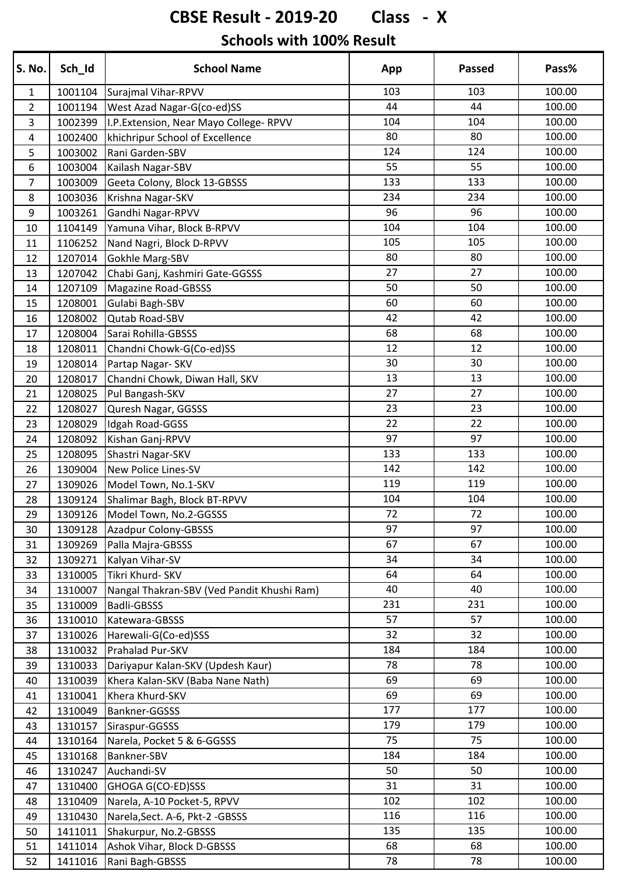# **CBSE Result - 2019-20 Class - X**

#### **Schools with 100% Result**

| S. No.         | Sch_Id  | <b>School Name</b>                         | App | <b>Passed</b> | Pass%  |
|----------------|---------|--------------------------------------------|-----|---------------|--------|
| $\mathbf{1}$   | 1001104 | Surajmal Vihar-RPVV                        | 103 | 103           | 100.00 |
| $\overline{2}$ | 1001194 | West Azad Nagar-G(co-ed)SS                 | 44  | 44            | 100.00 |
| 3              | 1002399 | I.P. Extension, Near Mayo College-RPVV     | 104 | 104           | 100.00 |
| 4              | 1002400 | khichripur School of Excellence            | 80  | 80            | 100.00 |
| 5              | 1003002 | Rani Garden-SBV                            | 124 | 124           | 100.00 |
| 6              | 1003004 | Kailash Nagar-SBV                          | 55  | 55            | 100.00 |
| $\overline{7}$ | 1003009 | Geeta Colony, Block 13-GBSSS               | 133 | 133           | 100.00 |
| 8              | 1003036 | Krishna Nagar-SKV                          | 234 | 234           | 100.00 |
| 9              | 1003261 | Gandhi Nagar-RPVV                          | 96  | 96            | 100.00 |
| 10             | 1104149 | Yamuna Vihar, Block B-RPVV                 | 104 | 104           | 100.00 |
| 11             | 1106252 | Nand Nagri, Block D-RPVV                   | 105 | 105           | 100.00 |
| 12             | 1207014 | Gokhle Marg-SBV                            | 80  | 80            | 100.00 |
| 13             | 1207042 | Chabi Ganj, Kashmiri Gate-GGSSS            | 27  | 27            | 100.00 |
| 14             | 1207109 | <b>Magazine Road-GBSSS</b>                 | 50  | 50            | 100.00 |
| 15             | 1208001 | Gulabi Bagh-SBV                            | 60  | 60            | 100.00 |
| 16             | 1208002 | Qutab Road-SBV                             | 42  | 42            | 100.00 |
| 17             | 1208004 | Sarai Rohilla-GBSSS                        | 68  | 68            | 100.00 |
| 18             | 1208011 | Chandni Chowk-G(Co-ed)SS                   | 12  | 12            | 100.00 |
| 19             | 1208014 | Partap Nagar- SKV                          | 30  | 30            | 100.00 |
| 20             | 1208017 | Chandni Chowk, Diwan Hall, SKV             | 13  | 13            | 100.00 |
| 21             | 1208025 | Pul Bangash-SKV                            | 27  | 27            | 100.00 |
| 22             | 1208027 | Quresh Nagar, GGSSS                        | 23  | 23            | 100.00 |
| 23             | 1208029 | Idgah Road-GGSS                            | 22  | 22            | 100.00 |
| 24             | 1208092 | Kishan Ganj-RPVV                           | 97  | 97            | 100.00 |
| 25             | 1208095 | Shastri Nagar-SKV                          | 133 | 133           | 100.00 |
| 26             | 1309004 | <b>New Police Lines-SV</b>                 | 142 | 142           | 100.00 |
| 27             | 1309026 | Model Town, No.1-SKV                       | 119 | 119           | 100.00 |
| 28             | 1309124 | Shalimar Bagh, Block BT-RPVV               | 104 | 104           | 100.00 |
| 29             | 1309126 | Model Town, No.2-GGSSS                     | 72  | 72            | 100.00 |
| 30             |         | 1309128 Azadpur Colony-GBSSS               | 97  | 97            | 100.00 |
| 31             | 1309269 | Palla Majra-GBSSS                          | 67  | 67            | 100.00 |
| 32             | 1309271 | Kalyan Vihar-SV                            | 34  | 34            | 100.00 |
| 33             | 1310005 | Tikri Khurd- SKV                           | 64  | 64            | 100.00 |
| 34             | 1310007 | Nangal Thakran-SBV (Ved Pandit Khushi Ram) | 40  | 40            | 100.00 |
| 35             | 1310009 | <b>Badli-GBSSS</b>                         | 231 | 231           | 100.00 |
| 36             | 1310010 | Katewara-GBSSS                             | 57  | 57            | 100.00 |
| 37             | 1310026 | Harewali-G(Co-ed)SSS                       | 32  | 32            | 100.00 |
| 38             | 1310032 | Prahalad Pur-SKV                           | 184 | 184           | 100.00 |
| 39             | 1310033 | Dariyapur Kalan-SKV (Updesh Kaur)          | 78  | 78            | 100.00 |
| 40             | 1310039 | Khera Kalan-SKV (Baba Nane Nath)           | 69  | 69            | 100.00 |
| 41             | 1310041 | Khera Khurd-SKV                            | 69  | 69            | 100.00 |
| 42             | 1310049 | Bankner-GGSSS                              | 177 | 177           | 100.00 |
| 43             | 1310157 | Siraspur-GGSSS                             | 179 | 179           | 100.00 |
| 44             | 1310164 | Narela, Pocket 5 & 6-GGSSS                 | 75  | 75            | 100.00 |
| 45             | 1310168 | Bankner-SBV                                | 184 | 184           | 100.00 |
| 46             | 1310247 | Auchandi-SV                                | 50  | 50            | 100.00 |
| 47             | 1310400 | GHOGA G(CO-ED)SSS                          | 31  | 31            | 100.00 |
| 48             | 1310409 | Narela, A-10 Pocket-5, RPVV                | 102 | 102           | 100.00 |
| 49             | 1310430 | Narela, Sect. A-6, Pkt-2 - GBSSS           | 116 | 116           | 100.00 |
| 50             | 1411011 | Shakurpur, No.2-GBSSS                      | 135 | 135           | 100.00 |
| 51             | 1411014 | Ashok Vihar, Block D-GBSSS                 | 68  | 68            | 100.00 |
| 52             | 1411016 | Rani Bagh-GBSSS                            | 78  | 78            | 100.00 |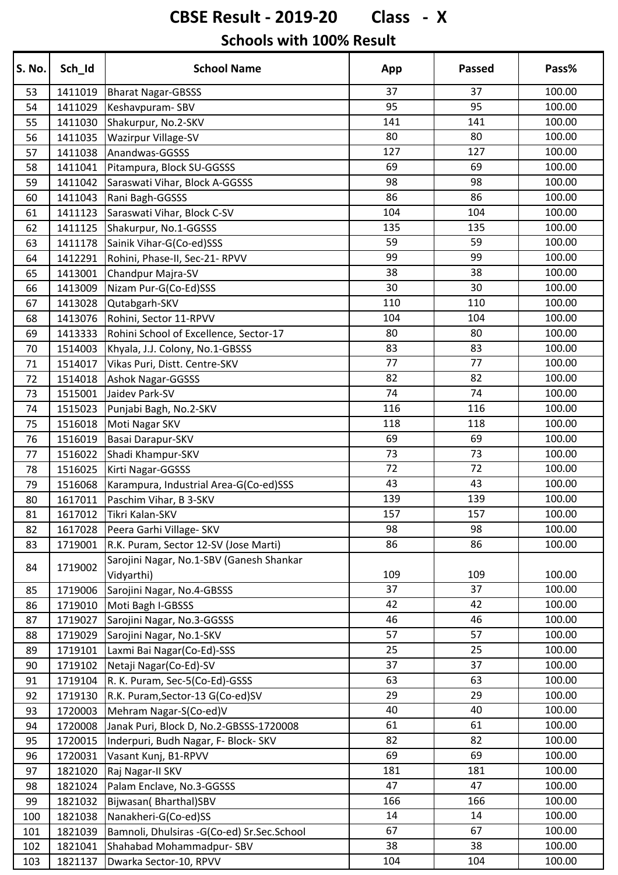## **CBSE Result - 2019-20 Class - X**

#### **Schools with 100% Result**

| S. No. | Sch_Id  | <b>School Name</b>                         | App | <b>Passed</b> | Pass%  |
|--------|---------|--------------------------------------------|-----|---------------|--------|
| 53     | 1411019 | <b>Bharat Nagar-GBSSS</b>                  | 37  | 37            | 100.00 |
| 54     | 1411029 | Keshavpuram-SBV                            | 95  | 95            | 100.00 |
| 55     | 1411030 | Shakurpur, No.2-SKV                        | 141 | 141           | 100.00 |
| 56     | 1411035 | <b>Wazirpur Village-SV</b>                 | 80  | 80            | 100.00 |
| 57     | 1411038 | Anandwas-GGSSS                             | 127 | 127           | 100.00 |
| 58     | 1411041 | Pitampura, Block SU-GGSSS                  | 69  | 69            | 100.00 |
| 59     | 1411042 | Saraswati Vihar, Block A-GGSSS             | 98  | 98            | 100.00 |
| 60     | 1411043 | Rani Bagh-GGSSS                            | 86  | 86            | 100.00 |
| 61     | 1411123 | Saraswati Vihar, Block C-SV                | 104 | 104           | 100.00 |
| 62     | 1411125 | Shakurpur, No.1-GGSSS                      | 135 | 135           | 100.00 |
| 63     | 1411178 | Sainik Vihar-G(Co-ed)SSS                   | 59  | 59            | 100.00 |
| 64     | 1412291 | Rohini, Phase-II, Sec-21- RPVV             | 99  | 99            | 100.00 |
| 65     | 1413001 | Chandpur Majra-SV                          | 38  | 38            | 100.00 |
| 66     | 1413009 | Nizam Pur-G(Co-Ed)SSS                      | 30  | 30            | 100.00 |
| 67     | 1413028 | Qutabgarh-SKV                              | 110 | 110           | 100.00 |
| 68     | 1413076 | Rohini, Sector 11-RPVV                     | 104 | 104           | 100.00 |
| 69     | 1413333 | Rohini School of Excellence, Sector-17     | 80  | 80            | 100.00 |
| 70     | 1514003 | Khyala, J.J. Colony, No.1-GBSSS            | 83  | 83            | 100.00 |
| 71     | 1514017 | Vikas Puri, Distt. Centre-SKV              | 77  | 77            | 100.00 |
| 72     | 1514018 | Ashok Nagar-GGSSS                          | 82  | 82            | 100.00 |
| 73     | 1515001 | Jaidev Park-SV                             | 74  | 74            | 100.00 |
| 74     | 1515023 | Punjabi Bagh, No.2-SKV                     | 116 | 116           | 100.00 |
| 75     | 1516018 | Moti Nagar SKV                             | 118 | 118           | 100.00 |
| 76     | 1516019 | Basai Darapur-SKV                          | 69  | 69            | 100.00 |
| 77     | 1516022 | Shadi Khampur-SKV                          | 73  | 73            | 100.00 |
| 78     | 1516025 | Kirti Nagar-GGSSS                          | 72  | 72            | 100.00 |
| 79     | 1516068 | Karampura, Industrial Area-G(Co-ed)SSS     | 43  | 43            | 100.00 |
| 80     | 1617011 | Paschim Vihar, B 3-SKV                     | 139 | 139           | 100.00 |
| 81     | 1617012 | Tikri Kalan-SKV                            | 157 | 157           | 100.00 |
| 82     | 1617028 | Peera Garhi Village- SKV                   | 98  | 98            | 100.00 |
| 83     | 1719001 | R.K. Puram, Sector 12-SV (Jose Marti)      | 86  | 86            | 100.00 |
|        |         | Sarojini Nagar, No.1-SBV (Ganesh Shankar   |     |               |        |
| 84     | 1719002 | Vidyarthi)                                 | 109 | 109           | 100.00 |
| 85     | 1719006 | Sarojini Nagar, No.4-GBSSS                 | 37  | 37            | 100.00 |
| 86     | 1719010 | Moti Bagh I-GBSSS                          | 42  | 42            | 100.00 |
| 87     | 1719027 | Sarojini Nagar, No.3-GGSSS                 | 46  | 46            | 100.00 |
| 88     | 1719029 | Sarojini Nagar, No.1-SKV                   | 57  | 57            | 100.00 |
| 89     | 1719101 | Laxmi Bai Nagar(Co-Ed)-SSS                 | 25  | 25            | 100.00 |
| 90     | 1719102 | Netaji Nagar(Co-Ed)-SV                     | 37  | 37            | 100.00 |
| 91     | 1719104 | R. K. Puram, Sec-5(Co-Ed)-GSSS             | 63  | 63            | 100.00 |
| 92     | 1719130 | R.K. Puram, Sector-13 G(Co-ed)SV           | 29  | 29            | 100.00 |
| 93     | 1720003 | Mehram Nagar-S(Co-ed)V                     | 40  | 40            | 100.00 |
| 94     | 1720008 | Janak Puri, Block D, No.2-GBSSS-1720008    | 61  | 61            | 100.00 |
| 95     | 1720015 | Inderpuri, Budh Nagar, F- Block- SKV       | 82  | 82            | 100.00 |
| 96     | 1720031 | Vasant Kunj, B1-RPVV                       | 69  | 69            | 100.00 |
| 97     | 1821020 | Raj Nagar-II SKV                           | 181 | 181           | 100.00 |
| 98     | 1821024 | Palam Enclave, No.3-GGSSS                  | 47  | 47            | 100.00 |
| 99     | 1821032 | Bijwasan(Bharthal)SBV                      | 166 | 166           | 100.00 |
| 100    | 1821038 | Nanakheri-G(Co-ed)SS                       | 14  | 14            | 100.00 |
| 101    | 1821039 | Bamnoli, Dhulsiras -G(Co-ed) Sr.Sec.School | 67  | 67            | 100.00 |
| 102    | 1821041 | Shahabad Mohammadpur-SBV                   | 38  | 38            | 100.00 |
| 103    | 1821137 | Dwarka Sector-10, RPVV                     | 104 | 104           | 100.00 |